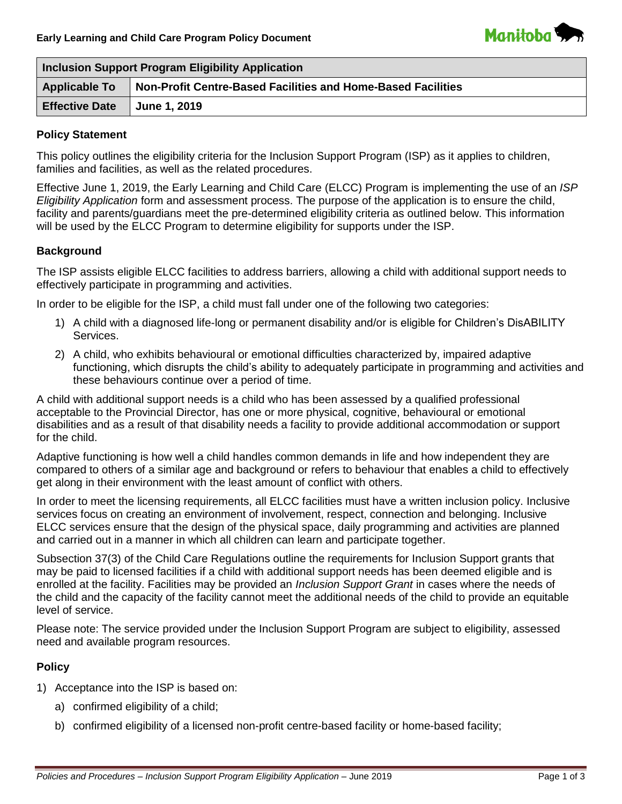

| <b>Inclusion Support Program Eligibility Application</b> |                                                              |  |
|----------------------------------------------------------|--------------------------------------------------------------|--|
| <b>Applicable To</b>                                     | Non-Profit Centre-Based Facilities and Home-Based Facilities |  |
| <b>Effective Date</b>                                    | <b>June 1, 2019</b>                                          |  |

# **Policy Statement**

This policy outlines the eligibility criteria for the Inclusion Support Program (ISP) as it applies to children, families and facilities, as well as the related procedures.

Effective June 1, 2019, the Early Learning and Child Care (ELCC) Program is implementing the use of an *ISP Eligibility Application* form and assessment process. The purpose of the application is to ensure the child, facility and parents/guardians meet the pre-determined eligibility criteria as outlined below. This information will be used by the ELCC Program to determine eligibility for supports under the ISP.

# **Background**

The ISP assists eligible ELCC facilities to address barriers, allowing a child with additional support needs to effectively participate in programming and activities.

In order to be eligible for the ISP, a child must fall under one of the following two categories:

- 1) A child with a diagnosed life-long or permanent disability and/or is eligible for Children's DisABILITY Services.
- 2) A child, who exhibits behavioural or emotional difficulties characterized by, impaired adaptive functioning, which disrupts the child's ability to adequately participate in programming and activities and these behaviours continue over a period of time.

A child with additional support needs is a child who has been assessed by a qualified professional acceptable to the Provincial Director, has one or more physical, cognitive, behavioural or emotional disabilities and as a result of that disability needs a facility to provide additional accommodation or support for the child.

Adaptive functioning is how well a child handles common demands in life and how independent they are compared to others of a similar age and background or refers to behaviour that enables a child to effectively get along in their environment with the least amount of conflict with others.

In order to meet the licensing requirements, all ELCC facilities must have a written inclusion policy. Inclusive services focus on creating an environment of involvement, respect, connection and belonging. Inclusive ELCC services ensure that the design of the physical space, daily programming and activities are planned and carried out in a manner in which all children can learn and participate together.

Subsection 37(3) of the Child Care Regulations outline the requirements for Inclusion Support grants that may be paid to licensed facilities if a child with additional support needs has been deemed eligible and is enrolled at the facility. Facilities may be provided an *Inclusion Support Grant* in cases where the needs of the child and the capacity of the facility cannot meet the additional needs of the child to provide an equitable level of service.

Please note: The service provided under the Inclusion Support Program are subject to eligibility, assessed need and available program resources.

### **Policy**

- 1) Acceptance into the ISP is based on:
	- a) confirmed eligibility of a child;
	- b) confirmed eligibility of a licensed non-profit centre-based facility or home-based facility;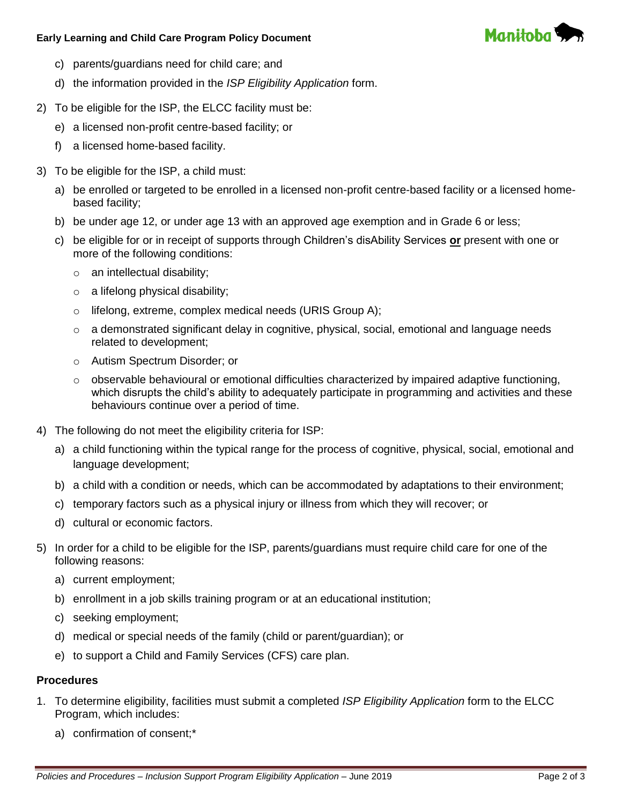### **Early Learning and Child Care Program Policy Document**



- c) parents/guardians need for child care; and
- d) the information provided in the *ISP Eligibility Application* form.
- 2) To be eligible for the ISP, the ELCC facility must be:
	- e) a licensed non-profit centre-based facility; or
	- f) a licensed home-based facility.
- 3) To be eligible for the ISP, a child must:
	- a) be enrolled or targeted to be enrolled in a licensed non-profit centre-based facility or a licensed homebased facility;
	- b) be under age 12, or under age 13 with an approved age exemption and in Grade 6 or less;
	- c) be eligible for or in receipt of supports through Children's disAbility Services **or** present with one or more of the following conditions:
		- $\circ$  an intellectual disability;
		- $\circ$  a lifelong physical disability;
		- o lifelong, extreme, complex medical needs (URIS Group A);
		- $\circ$  a demonstrated significant delay in cognitive, physical, social, emotional and language needs related to development;
		- o Autism Spectrum Disorder; or
		- $\circ$  observable behavioural or emotional difficulties characterized by impaired adaptive functioning, which disrupts the child's ability to adequately participate in programming and activities and these behaviours continue over a period of time.
- 4) The following do not meet the eligibility criteria for ISP:
	- a) a child functioning within the typical range for the process of cognitive, physical, social, emotional and language development;
	- b) a child with a condition or needs, which can be accommodated by adaptations to their environment;
	- c) temporary factors such as a physical injury or illness from which they will recover; or
	- d) cultural or economic factors.
- 5) In order for a child to be eligible for the ISP, parents/guardians must require child care for one of the following reasons:
	- a) current employment;
	- b) enrollment in a job skills training program or at an educational institution;
	- c) seeking employment;
	- d) medical or special needs of the family (child or parent/guardian); or
	- e) to support a Child and Family Services (CFS) care plan.

# **Procedures**

- 1. To determine eligibility, facilities must submit a completed *ISP Eligibility Application* form to the ELCC Program, which includes:
	- a) confirmation of consent;\*